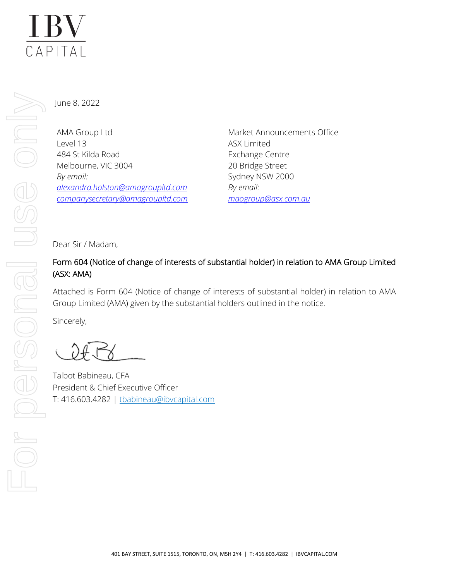# **IBV**  $\overline{CAPITAL}$

June 8, 2022

AMA Group Ltd Level 13 484 St Kilda Road Melbourne, VIC 3004 *By email: [alexandra.holston@amagroupltd.com](mailto:alexandra.holston@amagroupltd.com) [companysecretary@amagroupltd.com](mailto:companysecretary@amagroupltd.com)* Market Announcements Office ASX Limited Exchange Centre 20 Bridge Street Sydney NSW 2000 *By email: [maogroup@asx.com.au](mailto:maogroup@asx.com.au)*

Dear Sir / Madam,

# Form 604 (Notice of change of interests of substantial holder) in relation to AMA Group Limited (ASX: AMA)

Attached is Form 604 (Notice of change of interests of substantial holder) in relation to AMA Group Limited (AMA) given by the substantial holders outlined in the notice.

Sincerely,

Talbot Babineau, CFA President & Chief Executive Officer T: 416.603.4282 | [tbabineau@ibvcapital.com](mailto:tbabineau@ibvcapital.com)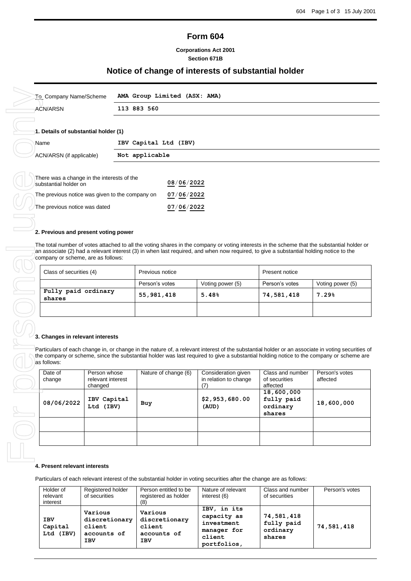# **Form 604**

#### **Corporations Act 2001 Section 671B**

## **Notice of change of interests of substantial holder**

| 113 883 560<br><b>ACN/ARSN</b><br>1. Details of substantial holder (1)<br>IBV Capital Ltd (IBV)<br>Name<br>Not applicable<br>ACN/ARSN (if applicable)<br>There was a change in the interests of the<br>08/06/2022<br>substantial holder on<br>The previous notice was given to the company on<br>07/06/2022<br>The previous notice was dated<br>07/06/2022<br>2. Previous and present voting power<br>The total number of votes attached to all the voting shares in the company or voting interests in the scheme that the substantial holder or<br>an associate (2) had a relevant interest (3) in when last required, and when now required, to give a substantial holding notice to the<br>company or scheme, are as follows:<br>Class of securities (4)<br>Previous notice<br>Present notice<br>Person's votes<br>Voting power (5)<br>Person's votes<br>Voting power (5)<br>Fully paid ordinary<br>7.29%<br>55, 981, 418<br>5.48%<br>74,581,418<br>shares<br>3. Changes in relevant interests<br>Particulars of each change in, or change in the nature of, a relevant interest of the substantial holder or an associate in voting securities of<br>the company or scheme, since the substantial holder was last required to give a substantial holding notice to the company or scheme are<br>as follows:<br>Person's votes<br>Date of<br>Person whose<br>Nature of change (6)<br>Consideration given<br>Class and number<br>relevant interest<br>in relation to change<br>of securities<br>affected<br>change<br>(7)<br>affected<br>changed<br>18,600,000<br>\$2,953,680.00<br>fully paid<br>IBV Capital<br>08/06/2022<br>18,600,000<br>Buy |
|-----------------------------------------------------------------------------------------------------------------------------------------------------------------------------------------------------------------------------------------------------------------------------------------------------------------------------------------------------------------------------------------------------------------------------------------------------------------------------------------------------------------------------------------------------------------------------------------------------------------------------------------------------------------------------------------------------------------------------------------------------------------------------------------------------------------------------------------------------------------------------------------------------------------------------------------------------------------------------------------------------------------------------------------------------------------------------------------------------------------------------------------------------------------------------------------------------------------------------------------------------------------------------------------------------------------------------------------------------------------------------------------------------------------------------------------------------------------------------------------------------------------------------------------------------------------------------------------------------------------------------------------------------|
|                                                                                                                                                                                                                                                                                                                                                                                                                                                                                                                                                                                                                                                                                                                                                                                                                                                                                                                                                                                                                                                                                                                                                                                                                                                                                                                                                                                                                                                                                                                                                                                                                                                     |
|                                                                                                                                                                                                                                                                                                                                                                                                                                                                                                                                                                                                                                                                                                                                                                                                                                                                                                                                                                                                                                                                                                                                                                                                                                                                                                                                                                                                                                                                                                                                                                                                                                                     |
|                                                                                                                                                                                                                                                                                                                                                                                                                                                                                                                                                                                                                                                                                                                                                                                                                                                                                                                                                                                                                                                                                                                                                                                                                                                                                                                                                                                                                                                                                                                                                                                                                                                     |
|                                                                                                                                                                                                                                                                                                                                                                                                                                                                                                                                                                                                                                                                                                                                                                                                                                                                                                                                                                                                                                                                                                                                                                                                                                                                                                                                                                                                                                                                                                                                                                                                                                                     |
|                                                                                                                                                                                                                                                                                                                                                                                                                                                                                                                                                                                                                                                                                                                                                                                                                                                                                                                                                                                                                                                                                                                                                                                                                                                                                                                                                                                                                                                                                                                                                                                                                                                     |
|                                                                                                                                                                                                                                                                                                                                                                                                                                                                                                                                                                                                                                                                                                                                                                                                                                                                                                                                                                                                                                                                                                                                                                                                                                                                                                                                                                                                                                                                                                                                                                                                                                                     |
|                                                                                                                                                                                                                                                                                                                                                                                                                                                                                                                                                                                                                                                                                                                                                                                                                                                                                                                                                                                                                                                                                                                                                                                                                                                                                                                                                                                                                                                                                                                                                                                                                                                     |
|                                                                                                                                                                                                                                                                                                                                                                                                                                                                                                                                                                                                                                                                                                                                                                                                                                                                                                                                                                                                                                                                                                                                                                                                                                                                                                                                                                                                                                                                                                                                                                                                                                                     |
|                                                                                                                                                                                                                                                                                                                                                                                                                                                                                                                                                                                                                                                                                                                                                                                                                                                                                                                                                                                                                                                                                                                                                                                                                                                                                                                                                                                                                                                                                                                                                                                                                                                     |
|                                                                                                                                                                                                                                                                                                                                                                                                                                                                                                                                                                                                                                                                                                                                                                                                                                                                                                                                                                                                                                                                                                                                                                                                                                                                                                                                                                                                                                                                                                                                                                                                                                                     |
|                                                                                                                                                                                                                                                                                                                                                                                                                                                                                                                                                                                                                                                                                                                                                                                                                                                                                                                                                                                                                                                                                                                                                                                                                                                                                                                                                                                                                                                                                                                                                                                                                                                     |
|                                                                                                                                                                                                                                                                                                                                                                                                                                                                                                                                                                                                                                                                                                                                                                                                                                                                                                                                                                                                                                                                                                                                                                                                                                                                                                                                                                                                                                                                                                                                                                                                                                                     |
|                                                                                                                                                                                                                                                                                                                                                                                                                                                                                                                                                                                                                                                                                                                                                                                                                                                                                                                                                                                                                                                                                                                                                                                                                                                                                                                                                                                                                                                                                                                                                                                                                                                     |
|                                                                                                                                                                                                                                                                                                                                                                                                                                                                                                                                                                                                                                                                                                                                                                                                                                                                                                                                                                                                                                                                                                                                                                                                                                                                                                                                                                                                                                                                                                                                                                                                                                                     |
|                                                                                                                                                                                                                                                                                                                                                                                                                                                                                                                                                                                                                                                                                                                                                                                                                                                                                                                                                                                                                                                                                                                                                                                                                                                                                                                                                                                                                                                                                                                                                                                                                                                     |
|                                                                                                                                                                                                                                                                                                                                                                                                                                                                                                                                                                                                                                                                                                                                                                                                                                                                                                                                                                                                                                                                                                                                                                                                                                                                                                                                                                                                                                                                                                                                                                                                                                                     |
|                                                                                                                                                                                                                                                                                                                                                                                                                                                                                                                                                                                                                                                                                                                                                                                                                                                                                                                                                                                                                                                                                                                                                                                                                                                                                                                                                                                                                                                                                                                                                                                                                                                     |
|                                                                                                                                                                                                                                                                                                                                                                                                                                                                                                                                                                                                                                                                                                                                                                                                                                                                                                                                                                                                                                                                                                                                                                                                                                                                                                                                                                                                                                                                                                                                                                                                                                                     |
|                                                                                                                                                                                                                                                                                                                                                                                                                                                                                                                                                                                                                                                                                                                                                                                                                                                                                                                                                                                                                                                                                                                                                                                                                                                                                                                                                                                                                                                                                                                                                                                                                                                     |
|                                                                                                                                                                                                                                                                                                                                                                                                                                                                                                                                                                                                                                                                                                                                                                                                                                                                                                                                                                                                                                                                                                                                                                                                                                                                                                                                                                                                                                                                                                                                                                                                                                                     |
|                                                                                                                                                                                                                                                                                                                                                                                                                                                                                                                                                                                                                                                                                                                                                                                                                                                                                                                                                                                                                                                                                                                                                                                                                                                                                                                                                                                                                                                                                                                                                                                                                                                     |
|                                                                                                                                                                                                                                                                                                                                                                                                                                                                                                                                                                                                                                                                                                                                                                                                                                                                                                                                                                                                                                                                                                                                                                                                                                                                                                                                                                                                                                                                                                                                                                                                                                                     |
|                                                                                                                                                                                                                                                                                                                                                                                                                                                                                                                                                                                                                                                                                                                                                                                                                                                                                                                                                                                                                                                                                                                                                                                                                                                                                                                                                                                                                                                                                                                                                                                                                                                     |
| Ltd (IBV)<br>ordinary<br>(AUD)                                                                                                                                                                                                                                                                                                                                                                                                                                                                                                                                                                                                                                                                                                                                                                                                                                                                                                                                                                                                                                                                                                                                                                                                                                                                                                                                                                                                                                                                                                                                                                                                                      |
| shares                                                                                                                                                                                                                                                                                                                                                                                                                                                                                                                                                                                                                                                                                                                                                                                                                                                                                                                                                                                                                                                                                                                                                                                                                                                                                                                                                                                                                                                                                                                                                                                                                                              |
|                                                                                                                                                                                                                                                                                                                                                                                                                                                                                                                                                                                                                                                                                                                                                                                                                                                                                                                                                                                                                                                                                                                                                                                                                                                                                                                                                                                                                                                                                                                                                                                                                                                     |
|                                                                                                                                                                                                                                                                                                                                                                                                                                                                                                                                                                                                                                                                                                                                                                                                                                                                                                                                                                                                                                                                                                                                                                                                                                                                                                                                                                                                                                                                                                                                                                                                                                                     |

| substantial holder on                           | 08/06/2022 |
|-------------------------------------------------|------------|
| The previous notice was given to the company on | 07/06/2022 |
| The previous notice was dated                   | 07/06/2022 |

| Class of securities (4)       | Previous notice                    |  | <b>Present notice</b> |                  |
|-------------------------------|------------------------------------|--|-----------------------|------------------|
|                               | Person's votes<br>Voting power (5) |  | Person's votes        | Voting power (5) |
| Fully paid ordinary<br>shares | 55,981,418<br>5.48%                |  | 74,581,418            | 7.29%            |
|                               |                                    |  |                       |                  |

#### **3. Changes in relevant interests**

| company or scheme, are as follows:              |                                   |                                                                                                                                                                                                                                                                                             |                                              |                                   |                            |
|-------------------------------------------------|-----------------------------------|---------------------------------------------------------------------------------------------------------------------------------------------------------------------------------------------------------------------------------------------------------------------------------------------|----------------------------------------------|-----------------------------------|----------------------------|
| Class of securities (4)                         |                                   | Previous notice                                                                                                                                                                                                                                                                             |                                              | Present notice                    |                            |
|                                                 |                                   | Person's votes                                                                                                                                                                                                                                                                              | Voting power (5)                             | Person's votes                    | Voting power (5)           |
| Fully paid ordinary<br>shares                   |                                   | 55,981,418                                                                                                                                                                                                                                                                                  | 5.48%                                        | 74,581,418                        | 7.29%                      |
|                                                 |                                   |                                                                                                                                                                                                                                                                                             |                                              |                                   |                            |
| 3. Changes in relevant interests<br>as follows: |                                   | Particulars of each change in, or change in the nature of, a relevant interest of the substantial holder or an associate in voting securities or<br>the company or scheme, since the substantial holder was last required to give a substantial holding notice to the company or scheme are |                                              |                                   |                            |
| Date of<br>change                               | Person whose<br>relevant interest | Nature of change (6)                                                                                                                                                                                                                                                                        | Consideration given<br>in relation to change | Class and number<br>of securities | Person's votes<br>affected |
|                                                 | changed                           |                                                                                                                                                                                                                                                                                             | (7)                                          | affected<br>18,600,000            |                            |

#### **4. Present relevant interests**

Particulars of each relevant interest of the substantial holder in voting securities after the change are as follows:

| Holder of<br>relevant<br>interest     | Registered holder<br>of securities                              | Person entitled to be<br>registered as holder<br>(8)            | Nature of relevant<br>interest (6)                                               | Class and number<br>of securities              | Person's votes |
|---------------------------------------|-----------------------------------------------------------------|-----------------------------------------------------------------|----------------------------------------------------------------------------------|------------------------------------------------|----------------|
| <b>IBV</b><br>Capital<br>(IBV)<br>Ltd | Various<br>discretionary<br>client<br>accounts of<br><b>IBV</b> | Various<br>discretionary<br>client<br>accounts of<br><b>IBV</b> | IBV, in its<br>capacity as<br>investment<br>manager for<br>client<br>portfolios, | 74,581,418<br>fully paid<br>ordinary<br>shares | 74,581,418     |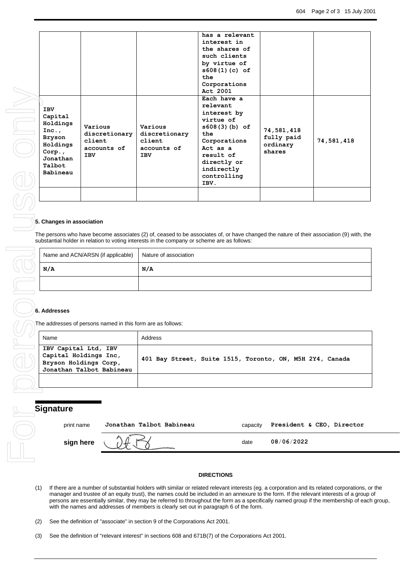|                                                                                                            | <b>IBV</b><br>Capital<br>Holdings<br>Inc.,<br><b>Bryson</b><br>Holdings<br>Corp.,<br>Jonathan<br>Talbot | Various<br>discretionary<br>client<br>accounts of<br><b>IBV</b>                                    | Various<br>discretionary<br>client<br>accounts of<br><b>IBV</b>                             | has a relevant<br>interest in<br>the shares of<br>such clients<br>by virtue of<br>s608(1)(c) of<br>the<br>Corporations<br>Act 2001<br>Each have a<br>relevant<br>interest by<br>virtue of<br>$s608(3)(b)$ of<br>the<br>Corporations<br>Act as a<br>result of<br>directly or<br>indirectly                                                                               | 74,581,418<br>fully paid<br>ordinary<br>shares | 74,581,418                |
|------------------------------------------------------------------------------------------------------------|---------------------------------------------------------------------------------------------------------|----------------------------------------------------------------------------------------------------|---------------------------------------------------------------------------------------------|-------------------------------------------------------------------------------------------------------------------------------------------------------------------------------------------------------------------------------------------------------------------------------------------------------------------------------------------------------------------------|------------------------------------------------|---------------------------|
|                                                                                                            | Babineau                                                                                                |                                                                                                    |                                                                                             | controlling<br>IBV.                                                                                                                                                                                                                                                                                                                                                     |                                                |                           |
|                                                                                                            |                                                                                                         |                                                                                                    |                                                                                             |                                                                                                                                                                                                                                                                                                                                                                         |                                                |                           |
|                                                                                                            | 5. Changes in association                                                                               |                                                                                                    | substantial holder in relation to voting interests in the company or scheme are as follows: | The persons who have become associates (2) of, ceased to be associates of, or have changed the nature of their association (9) with, the                                                                                                                                                                                                                                |                                                |                           |
|                                                                                                            |                                                                                                         | Name and ACN/ARSN (if applicable)                                                                  | Nature of association                                                                       |                                                                                                                                                                                                                                                                                                                                                                         |                                                |                           |
|                                                                                                            | N/A                                                                                                     |                                                                                                    | N/A                                                                                         |                                                                                                                                                                                                                                                                                                                                                                         |                                                |                           |
|                                                                                                            |                                                                                                         |                                                                                                    |                                                                                             |                                                                                                                                                                                                                                                                                                                                                                         |                                                |                           |
|                                                                                                            | 6. Addresses                                                                                            | The addresses of persons named in this form are as follows:                                        |                                                                                             |                                                                                                                                                                                                                                                                                                                                                                         |                                                |                           |
|                                                                                                            | Name                                                                                                    |                                                                                                    | Address                                                                                     |                                                                                                                                                                                                                                                                                                                                                                         |                                                |                           |
|                                                                                                            |                                                                                                         | IBV Capital Ltd, IBV<br>Capital Holdings Inc,<br>Bryson Holdings Corp,<br>Jonathan Talbot Babineau |                                                                                             | 401 Bay Street, Suite 1515, Toronto, ON, M5H 2Y4, Canada                                                                                                                                                                                                                                                                                                                |                                                |                           |
|                                                                                                            |                                                                                                         |                                                                                                    |                                                                                             |                                                                                                                                                                                                                                                                                                                                                                         |                                                |                           |
|                                                                                                            | <b>Signature</b><br>print name                                                                          |                                                                                                    | Jonathan Talbot Babineau                                                                    | capacity                                                                                                                                                                                                                                                                                                                                                                |                                                | President & CEO, Director |
|                                                                                                            |                                                                                                         |                                                                                                    |                                                                                             |                                                                                                                                                                                                                                                                                                                                                                         |                                                |                           |
|                                                                                                            | sign here                                                                                               |                                                                                                    |                                                                                             | date                                                                                                                                                                                                                                                                                                                                                                    | 08/06/2022                                     |                           |
| (1)                                                                                                        |                                                                                                         |                                                                                                    |                                                                                             | <b>DIRECTIONS</b><br>If there are a number of substantial holders with similar or related relevant interests (eg. a corporation and its related corporations, o                                                                                                                                                                                                         |                                                |                           |
|                                                                                                            |                                                                                                         |                                                                                                    |                                                                                             | manager and trustee of an equity trust), the names could be included in an annexure to the form. If the relevant interests of a group<br>persons are essentially similar, they may be referred to throughout the form as a specifically named group if the membership of each<br>with the names and addresses of members is clearly set out in paragraph 6 of the form. |                                                |                           |
| (2)                                                                                                        |                                                                                                         |                                                                                                    | See the definition of "associate" in section 9 of the Corporations Act 2001.                |                                                                                                                                                                                                                                                                                                                                                                         |                                                |                           |
| See the definition of "relevant interest" in sections 608 and 671B(7) of the Corporations Act 2001.<br>(3) |                                                                                                         |                                                                                                    |                                                                                             |                                                                                                                                                                                                                                                                                                                                                                         |                                                |                           |

#### **5. Changes in association**

| Name and ACN/ARSN (if applicable) | Nature of association |
|-----------------------------------|-----------------------|
| N/A                               | N/A                   |
|                                   |                       |

#### **6. Addresses**

| Name                                                                                               | Address                                                  |
|----------------------------------------------------------------------------------------------------|----------------------------------------------------------|
| IBV Capital Ltd, IBV<br>Capital Holdings Inc,<br>Bryson Holdings Corp,<br>Jonathan Talbot Babineau | 401 Bay Street, Suite 1515, Toronto, ON, M5H 2Y4, Canada |
|                                                                                                    |                                                          |

| Signature |            |                          |          |                           |  |  |  |
|-----------|------------|--------------------------|----------|---------------------------|--|--|--|
|           | print name | Jonathan Talbot Babineau | capacity | President & CEO, Director |  |  |  |
|           | sign here  |                          | date     | 08/06/2022                |  |  |  |
|           |            |                          |          |                           |  |  |  |

### **DIRECTIONS**

- (1) If there are a number of substantial holders with similar or related relevant interests (eg. a corporation and its related corporations, or the manager and trustee of an equity trust), the names could be included in an annexure to the form. If the relevant interests of a group of persons are essentially similar, they may be referred to throughout the form as a specifically named group if the membership of each group, with the names and addresses of members is clearly set out in paragraph 6 of the form.
- (2) See the definition of "associate" in section 9 of the Corporations Act 2001.
-